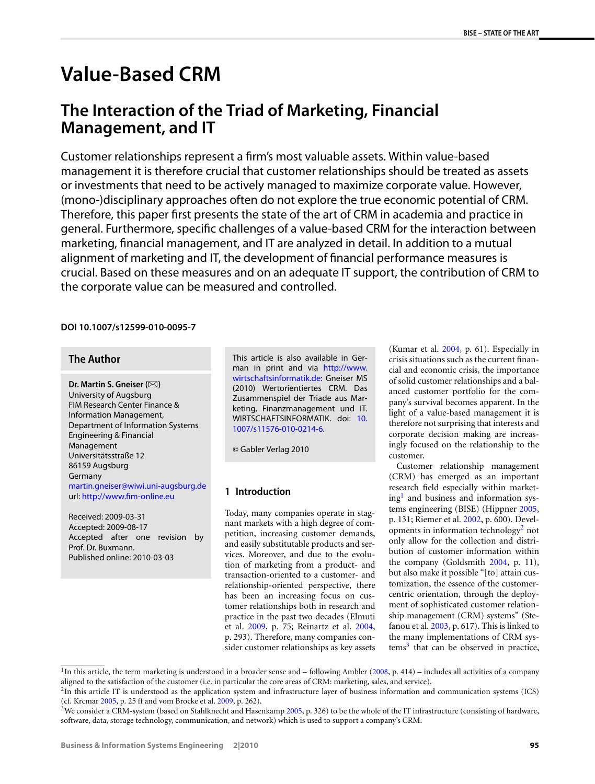# **Value-Based CRM**

# **The Interaction of the Triad of Marketing, Financial Management, and IT**

Customer relationships represent a firm's most valuable assets. Within value-based management it is therefore crucial that customer relationships should be treated as assets or investments that need to be actively managed to maximize corporate value. However, (mono-)disciplinary approaches often do not explore the true economic potential of CRM. Therefore, this paper first presents the state of the art of CRM in academia and practice in general. Furthermore, specific challenges of a value-based CRM for the interaction between marketing, financial management, and IT are analyzed in detail. In addition to a mutual alignment of marketing and IT, the development of financial performance measures is crucial. Based on these measures and on an adequate IT support, the contribution of CRM to the corporate value can be measured and controlled.

### **DOI 10.1007/s12599-010-0095-7**

# **The Author**

**Dr. Martin S. Gneiser (** $\boxtimes$ **)** University of Augsburg FIM Research Center Finance & Information Management, Department of Information Systems Engineering & Financial Management Universitätsstraße 12 86159 Augsburg Germany [martin.gneiser@wiwi.uni-augsburg.de](mailto:martin.gneiser@wiwi.uni-augsburg.de) url: <http://www.fim-online.eu>

Received: 2009-03-31 Accepted: 2009-08-17 Accepted after one revision by Prof. Dr. Buxmann. Published online: 2010-03-03

This article is also available in German in print and via [http://www.](http://www.wirtschaftsinformatik.de) [wirtschaftsinformatik.de:](http://www.wirtschaftsinformatik.de) Gneiser MS (2010) Wertorientiertes CRM. Das Zusammenspiel der Triade aus Marketing, Finanzmanagement und IT. WIRTSCHAFTSINFORMATIK. doi: [10.](http://dx.doi.org/10.1007/s11576-010-0214-6) [1007/s11576-010-0214-6.](http://dx.doi.org/10.1007/s11576-010-0214-6)

© Gabler Verlag 2010

# **1 Introduction**

Today, many companies operate in stagnant markets with a high degree of competition, increasing customer demands, and easily substitutable products and services. Moreover, and due to the evolution of marketing from a product- and transaction-oriented to a customer- and relationship-oriented perspective, there has been an increasing focus on customer relationships both in research and practice in the past two decades (Elmuti et al. [2009,](#page-6-0) p. 75; Reinartz et al. [2004,](#page-8-0) p. 293). Therefore, many companies consider customer relationships as key assets

(Kumar et al. [2004](#page-7-0), p. 61). Especially in crisis situations such as the current financial and economic crisis, the importance of solid customer relationships and a balanced customer portfolio for the company's survival becomes apparent. In the light of a value-based management it is therefore not surprising that interests and corporate decision making are increasingly focused on the relationship to the customer.

Customer relationship management (CRM) has emerged as an important research field especially within market $ing<sup>1</sup>$  and business and information systems engineering (BISE) (Hippner [2005,](#page-7-0) p. 131; Riemer et al. [2002,](#page-8-0) p. 600). Developments in information technology<sup>2</sup> not only allow for the collection and distribution of customer information within the company (Goldsmith [2004](#page-7-0), p. 11), but also make it possible "[to] attain customization, the essence of the customercentric orientation, through the deployment of sophisticated customer relationship management (CRM) systems" (Stefanou et al. [2003](#page-8-0), p. 617). This is linked to the many implementations of CRM sys $tems<sup>3</sup>$  that can be observed in practice,

 $1$ In this article, the term marketing is understood in a broader sense and – following Ambler [\(2008](#page-6-0), p. 414) – includes all activities of a company aligned to the satisfaction of the customer (i.e. in particular the core areas of CRM: marketing, sales, and service).

<sup>&</sup>lt;sup>2</sup>In this article IT is understood as the application system and infrastructure layer of business information and communication systems (ICS) (cf. Krcmar [2005,](#page-7-0) p. 25 ff and vom Brocke et al. [2009](#page-6-0), p. 262).

 $3$ We consider a CRM-system (based on Stahlknecht and Hasenkamp [2005,](#page-8-0) p. 326) to be the whole of the IT infrastructure (consisting of hardware, software, data, storage technology, communication, and network) which is used to support a company's CRM.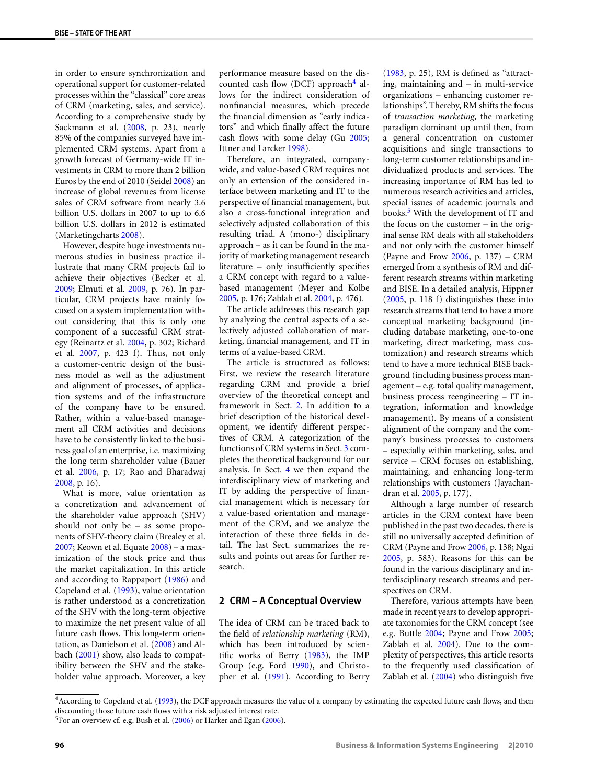in order to ensure synchronization and operational support for customer-related processes within the "classical" core areas of CRM (marketing, sales, and service). According to a comprehensive study by Sackmann et al. ([2008](#page-8-0), p. 23), nearly 85% of the companies surveyed have implemented CRM systems. Apart from a growth forecast of Germany-wide IT investments in CRM to more than 2 billion Euros by the end of 2010 (Seidel [2008](#page-8-0)) an increase of global revenues from license sales of CRM software from nearly 3.6 billion U.S. dollars in 2007 to up to 6.6 billion U.S. dollars in 2012 is estimated (Marketingcharts [2008](#page-7-0)).

However, despite huge investments numerous studies in business practice illustrate that many CRM projects fail to achieve their objectives (Becker et al. [2009](#page-6-0); Elmuti et al. [2009](#page-6-0), p. 76). In particular, CRM projects have mainly focused on a system implementation without considering that this is only one component of a successful CRM strategy (Reinartz et al. [2004](#page-8-0), p. 302; Richard et al. [2007](#page-8-0), p. 423 f). Thus, not only a customer-centric design of the business model as well as the adjustment and alignment of processes, of application systems and of the infrastructure of the company have to be ensured. Rather, within a value-based management all CRM activities and decisions have to be consistently linked to the business goal of an enterprise, i.e. maximizing the long term shareholder value (Bauer et al. [2006,](#page-6-0) p. 17; Rao and Bharadwaj [2008](#page-8-0), p. 16).

What is more, value orientation as a concretization and advancement of the shareholder value approach (SHV) should not only be – as some proponents of SHV-theory claim (Brealey et al. [2007](#page-6-0); Keown et al. Equate [2008\)](#page-7-0) – a maximization of the stock price and thus the market capitalization. In this article and according to Rappaport ([1986\)](#page-8-0) and Copeland et al. [\(1993\)](#page-6-0), value orientation is rather understood as a concretization of the SHV with the long-term objective to maximize the net present value of all future cash flows. This long-term orientation, as Danielson et al. [\(2008](#page-6-0)) and Albach [\(2001](#page-6-0)) show, also leads to compatibility between the SHV and the stakeholder value approach. Moreover, a key performance measure based on the discounted cash flow (DCF) approach<sup>4</sup> allows for the indirect consideration of nonfinancial measures, which precede the financial dimension as "early indicators" and which finally affect the future cash flows with some delay (Gu [2005;](#page-7-0) Ittner and Larcker [1998\)](#page-7-0).

Therefore, an integrated, companywide, and value-based CRM requires not only an extension of the considered interface between marketing and IT to the perspective of financial management, but also a cross-functional integration and selectively adjusted collaboration of this resulting triad. A (mono-) disciplinary approach – as it can be found in the majority of marketing management research literature – only insufficiently specifies a CRM concept with regard to a valuebased management (Meyer and Kolbe [2005](#page-7-0), p. 176; Zablah et al. [2004](#page-8-0), p. 476).

The article addresses this research gap by analyzing the central aspects of a selectively adjusted collaboration of marketing, financial management, and IT in terms of a value-based CRM.

The article is structured as follows: First, we review the research literature regarding CRM and provide a brief overview of the theoretical concept and framework in Sect. 2. In addition to a brief description of the historical development, we identify different perspectives of CRM. A categorization of the functions of CRM systems in Sect. [3](#page-2-0) completes the theoretical background for our analysis. In Sect. [4](#page-3-0) we then expand the interdisciplinary view of marketing and IT by adding the perspective of financial management which is necessary for a value-based orientation and management of the CRM, and we analyze the interaction of these three fields in detail. The last Sect. summarizes the results and points out areas for further research.

#### **2 CRM – A Conceptual Overview**

The idea of CRM can be traced back to the field of *relationship marketing* (RM), which has been introduced by scientific works of Berry [\(1983](#page-6-0)), the IMP Group (e.g. Ford [1990\)](#page-6-0), and Christopher et al. [\(1991](#page-6-0)). According to Berry

[\(1983,](#page-6-0) p. 25), RM is defined as "attracting, maintaining and – in multi-service organizations – enhancing customer relationships". Thereby, RM shifts the focus of *transaction marketing*, the marketing paradigm dominant up until then, from a general concentration on customer acquisitions and single transactions to long-term customer relationships and individualized products and services. The increasing importance of RM has led to numerous research activities and articles, special issues of academic journals and books.<sup>5</sup> With the development of IT and the focus on the customer – in the original sense RM deals with all stakeholders and not only with the customer himself (Payne and Frow [2006,](#page-8-0) p. 137) – CRM emerged from a synthesis of RM and different research streams within marketing and BISE. In a detailed analysis, Hippner [\(2005,](#page-7-0) p. 118 f) distinguishes these into research streams that tend to have a more conceptual marketing background (including database marketing, one-to-one marketing, direct marketing, mass customization) and research streams which tend to have a more technical BISE background (including business process management – e.g. total quality management, business process reengineering – IT integration, information and knowledge management). By means of a consistent alignment of the company and the company's business processes to customers – especially within marketing, sales, and service – CRM focuses on establishing, maintaining, and enhancing long-term relationships with customers (Jayachandran et al. [2005](#page-7-0), p. 177).

Although a large number of research articles in the CRM context have been published in the past two decades, there is still no universally accepted definition of CRM (Payne and Frow [2006,](#page-8-0) p. 138; Ngai [2005](#page-7-0), p. 583). Reasons for this can be found in the various disciplinary and interdisciplinary research streams and perspectives on CRM.

Therefore, various attempts have been made in recent years to develop appropriate taxonomies for the CRM concept (see e.g. Buttle [2004](#page-6-0); Payne and Frow [2005;](#page-8-0) Zablah et al. [2004](#page-8-0)). Due to the complexity of perspectives, this article resorts to the frequently used classification of Zablah et al. ([2004\)](#page-8-0) who distinguish five

<sup>4</sup>According to Copeland et al. ([1993](#page-6-0)), the DCF approach measures the value of a company by estimating the expected future cash flows, and then discounting those future cash flows with a risk adjusted interest rate.

<sup>&</sup>lt;sup>5</sup>For an overview cf. e.g. Bush et al. [\(2006](#page-6-0)) or Harker and Egan [\(2006\)](#page-7-0).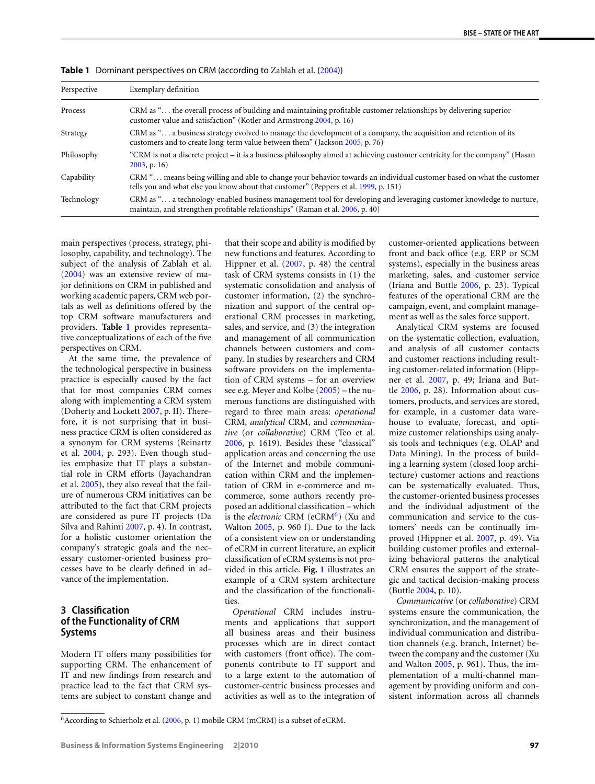| Perspective | Exemplary definition                                                                                                                                                                                        |
|-------------|-------------------------------------------------------------------------------------------------------------------------------------------------------------------------------------------------------------|
| Process     | CRM as " the overall process of building and maintaining profitable customer relationships by delivering superior<br>customer value and satisfaction" (Kotler and Armstrong 2004, p. 16)                    |
| Strategy    | CRM as " a business strategy evolved to manage the development of a company, the acquisition and retention of its<br>customers and to create long-term value between them" (Jackson 2005, p. 76)            |
| Philosophy  | "CRM is not a discrete project - it is a business philosophy aimed at achieving customer centricity for the company" (Hasan<br>$2003$ , p. 16)                                                              |
| Capability  | CRM " means being willing and able to change your behavior towards an individual customer based on what the customer<br>tells you and what else you know about that customer" (Peppers et al. 1999, p. 151) |
| Technology  | CRM as " a technology-enabled business management tool for developing and leveraging customer knowledge to nurture,<br>maintain, and strengthen profitable relationships" (Raman et al. 2006, p. 40)        |
|             |                                                                                                                                                                                                             |

<span id="page-2-0"></span>**Table 1** Dominant perspectives on CRM (according to Zablah et al. ([2004](#page-8-0)))

main perspectives (process, strategy, philosophy, capability, and technology). The subject of the analysis of Zablah et al. [\(2004](#page-8-0)) was an extensive review of major definitions on CRM in published and working academic papers, CRM web portals as well as definitions offered by the top CRM software manufacturers and providers. **Table 1** provides representative conceptualizations of each of the five perspectives on CRM.

At the same time, the prevalence of the technological perspective in business practice is especially caused by the fact that for most companies CRM comes along with implementing a CRM system (Doherty and Lockett [2007,](#page-6-0) p. II). Therefore, it is not surprising that in business practice CRM is often considered as a synonym for CRM systems (Reinartz et al. [2004](#page-8-0), p. 293). Even though studies emphasize that IT plays a substantial role in CRM efforts (Jayachandran et al. [2005\)](#page-7-0), they also reveal that the failure of numerous CRM initiatives can be attributed to the fact that CRM projects are considered as pure IT projects (Da Silva and Rahimi [2007,](#page-6-0) p. 4). In contrast, for a holistic customer orientation the company's strategic goals and the necessary customer-oriented business processes have to be clearly defined in advance of the implementation.

# **3 Classification of the Functionality of CRM Systems**

Modern IT offers many possibilities for supporting CRM. The enhancement of IT and new findings from research and practice lead to the fact that CRM systems are subject to constant change and that their scope and ability is modified by new functions and features. According to Hippner et al. [\(2007](#page-7-0), p. 48) the central task of CRM systems consists in (1) the systematic consolidation and analysis of customer information, (2) the synchronization and support of the central operational CRM processes in marketing, sales, and service, and (3) the integration and management of all communication channels between customers and company. In studies by researchers and CRM software providers on the implementation of CRM systems – for an overview see e.g. Meyer and Kolbe [\(2005](#page-7-0)) – the numerous functions are distinguished with regard to three main areas: *operational* CRM, *analytical* CRM, and *communicative* (or *collaborative*) CRM (Teo et al. [2006](#page-8-0), p. 1619). Besides these "classical" application areas and concerning the use of the Internet and mobile communication within CRM and the implementation of CRM in e-commerce and mcommerce, some authors recently proposed an additional classification – which is the *electronic* CRM (eCRM<sup>6</sup>) (Xu and Walton [2005,](#page-8-0) p. 960 f). Due to the lack of a consistent view on or understanding of eCRM in current literature, an explicit classification of eCRM systems is not provided in this article. **Fig. [1](#page-3-0)** illustrates an example of a CRM system architecture and the classification of the functionalities.

*Operational* CRM includes instruments and applications that support all business areas and their business processes which are in direct contact with customers (front office). The components contribute to IT support and to a large extent to the automation of customer-centric business processes and activities as well as to the integration of customer-oriented applications between front and back office (e.g. ERP or SCM systems), especially in the business areas marketing, sales, and customer service (Iriana and Buttle [2006](#page-7-0), p. 23). Typical features of the operational CRM are the campaign, event, and complaint management as well as the sales force support.

Analytical CRM systems are focused on the systematic collection, evaluation, and analysis of all customer contacts and customer reactions including resulting customer-related information (Hippner et al. [2007](#page-7-0), p. 49; Iriana and Buttle [2006](#page-7-0), p. 28). Information about customers, products, and services are stored, for example, in a customer data warehouse to evaluate, forecast, and optimize customer relationships using analysis tools and techniques (e.g. OLAP and Data Mining). In the process of building a learning system (closed loop architecture) customer actions and reactions can be systematically evaluated. Thus, the customer-oriented business processes and the individual adjustment of the communication and service to the customers' needs can be continually improved (Hippner et al. [2007,](#page-7-0) p. 49). Via building customer profiles and externalizing behavioral patterns the analytical CRM ensures the support of the strategic and tactical decision-making process (Buttle [2004,](#page-6-0) p. 10).

*Communicative* (or *collaborative*) CRM systems ensure the communication, the synchronization, and the management of individual communication and distribution channels (e.g. branch, Internet) between the company and the customer (Xu and Walton [2005](#page-8-0), p. 961). Thus, the implementation of a multi-channel management by providing uniform and consistent information across all channels

 $6$ According to Schierholz et al. [\(2006,](#page-8-0) p. 1) mobile CRM (mCRM) is a subset of eCRM.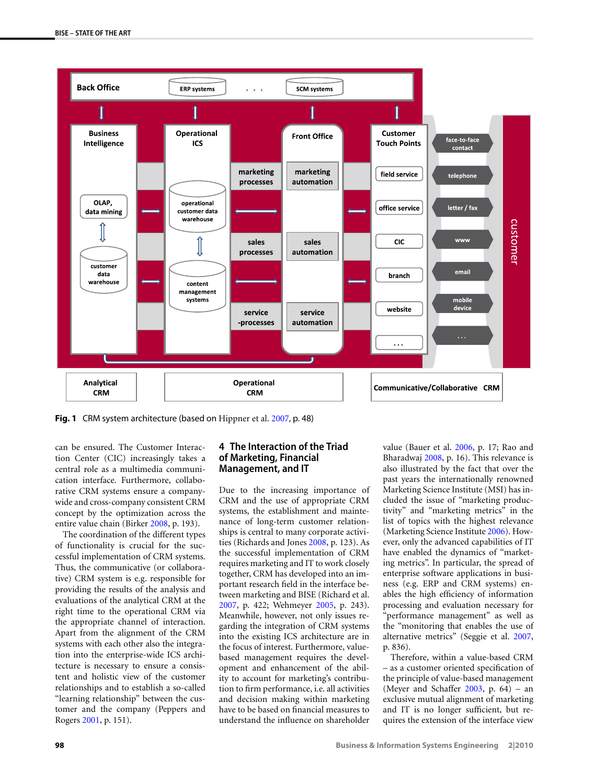<span id="page-3-0"></span>

**Fig. 1** CRM system architecture (based on Hippner et al. [2007](#page-7-0), p. 48)

can be ensured. The Customer Interaction Center (CIC) increasingly takes a central role as a multimedia communication interface. Furthermore, collaborative CRM systems ensure a companywide and cross-company consistent CRM concept by the optimization across the entire value chain (Birker [2008](#page-6-0), p. 193).

The coordination of the different types of functionality is crucial for the successful implementation of CRM systems. Thus, the communicative (or collaborative) CRM system is e.g. responsible for providing the results of the analysis and evaluations of the analytical CRM at the right time to the operational CRM via the appropriate channel of interaction. Apart from the alignment of the CRM systems with each other also the integration into the enterprise-wide ICS architecture is necessary to ensure a consistent and holistic view of the customer relationships and to establish a so-called "learning relationship" between the customer and the company (Peppers and Rogers [2001,](#page-8-0) p. 151).

# **4 The Interaction of the Triad of Marketing, Financial Management, and IT**

Due to the increasing importance of CRM and the use of appropriate CRM systems, the establishment and maintenance of long-term customer relationships is central to many corporate activities (Richards and Jones [2008,](#page-8-0) p. 123). As the successful implementation of CRM requires marketing and IT to work closely together, CRM has developed into an important research field in the interface between marketing and BISE (Richard et al. [2007](#page-8-0), p. 422; Wehmeyer [2005](#page-8-0), p. 243). Meanwhile, however, not only issues regarding the integration of CRM systems into the existing ICS architecture are in the focus of interest. Furthermore, valuebased management requires the development and enhancement of the ability to account for marketing's contribution to firm performance, i.e. all activities and decision making within marketing have to be based on financial measures to understand the influence on shareholder

value (Bauer et al. [2006](#page-6-0), p. 17; Rao and Bharadwaj [2008,](#page-8-0) p. 16). This relevance is also illustrated by the fact that over the past years the internationally renowned Marketing Science Institute (MSI) has included the issue of "marketing productivity" and "marketing metrics" in the list of topics with the highest relevance (Marketing Science Institute [2006\)](#page-7-0). However, only the advanced capabilities of IT have enabled the dynamics of "marketing metrics". In particular, the spread of enterprise software applications in business (e.g. ERP and CRM systems) enables the high efficiency of information processing and evaluation necessary for "performance management" as well as the "monitoring that enables the use of alternative metrics" (Seggie et al. [2007,](#page-8-0) p. 836).

Therefore, within a value-based CRM – as a customer oriented specification of the principle of value-based management (Meyer and Schaffer  $2003$ , p. 64) – an exclusive mutual alignment of marketing and IT is no longer sufficient, but requires the extension of the interface view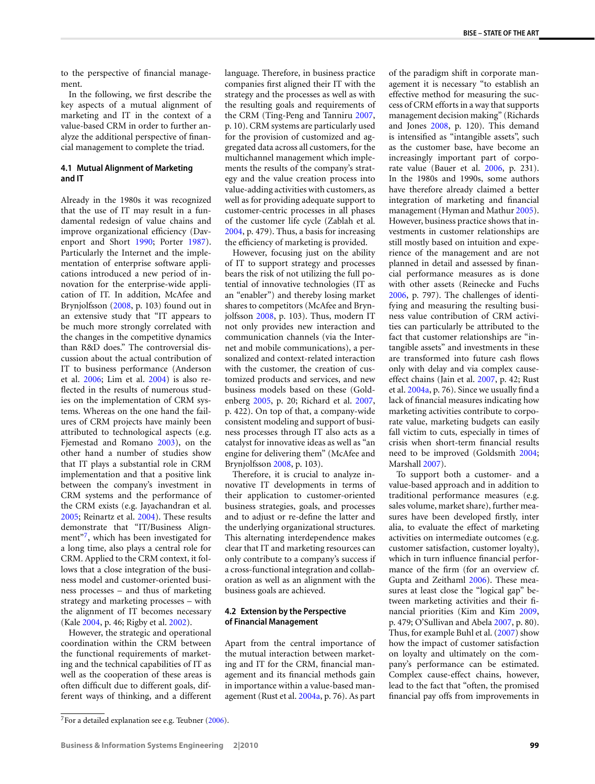to the perspective of financial management.

In the following, we first describe the key aspects of a mutual alignment of marketing and IT in the context of a value-based CRM in order to further analyze the additional perspective of financial management to complete the triad.

#### **4.1 Mutual Alignment of Marketing and IT**

Already in the 1980s it was recognized that the use of IT may result in a fundamental redesign of value chains and improve organizational efficiency (Davenport and Short [1990;](#page-6-0) Porter [1987](#page-8-0)). Particularly the Internet and the implementation of enterprise software applications introduced a new period of innovation for the enterprise-wide application of IT. In addition, McAfee and Brynjolfsson ([2008,](#page-7-0) p. 103) found out in an extensive study that "IT appears to be much more strongly correlated with the changes in the competitive dynamics than R&D does." The controversial discussion about the actual contribution of IT to business performance (Anderson et al. [2006](#page-6-0); Lim et al. [2004](#page-7-0)) is also reflected in the results of numerous studies on the implementation of CRM systems. Whereas on the one hand the failures of CRM projects have mainly been attributed to technological aspects (e.g. Fjemestad and Romano [2003\)](#page-6-0), on the other hand a number of studies show that IT plays a substantial role in CRM implementation and that a positive link between the company's investment in CRM systems and the performance of the CRM exists (e.g. Jayachandran et al. [2005;](#page-7-0) Reinartz et al. [2004](#page-8-0)). These results demonstrate that "IT/Business Alignment"<sup>7</sup>, which has been investigated for a long time, also plays a central role for CRM. Applied to the CRM context, it follows that a close integration of the business model and customer-oriented business processes – and thus of marketing strategy and marketing processes – with the alignment of IT becomes necessary (Kale [2004](#page-7-0), p. 46; Rigby et al. [2002](#page-8-0)).

However, the strategic and operational coordination within the CRM between the functional requirements of marketing and the technical capabilities of IT as well as the cooperation of these areas is often difficult due to different goals, different ways of thinking, and a different language. Therefore, in business practice companies first aligned their IT with the strategy and the processes as well as with the resulting goals and requirements of the CRM (Ting-Peng and Tanniru [2007,](#page-8-0) p. 10). CRM systems are particularly used for the provision of customized and aggregated data across all customers, for the multichannel management which implements the results of the company's strategy and the value creation process into value-adding activities with customers, as well as for providing adequate support to customer-centric processes in all phases of the customer life cycle (Zablah et al. [2004](#page-8-0), p. 479). Thus, a basis for increasing the efficiency of marketing is provided.

However, focusing just on the ability of IT to support strategy and processes bears the risk of not utilizing the full potential of innovative technologies (IT as an "enabler") and thereby losing market shares to competitors (McAfee and Brynjolfsson [2008](#page-7-0), p. 103). Thus, modern IT not only provides new interaction and communication channels (via the Internet and mobile communications), a personalized and context-related interaction with the customer, the creation of customized products and services, and new business models based on these (Goldenberg [2005](#page-6-0), p. 20; Richard et al. [2007,](#page-8-0) p. 422). On top of that, a company-wide consistent modeling and support of business processes through IT also acts as a catalyst for innovative ideas as well as "an engine for delivering them" (McAfee and Brynjolfsson [2008](#page-7-0), p. 103).

Therefore, it is crucial to analyze innovative IT developments in terms of their application to customer-oriented business strategies, goals, and processes and to adjust or re-define the latter and the underlying organizational structures. This alternating interdependence makes clear that IT and marketing resources can only contribute to a company's success if a cross-functional integration and collaboration as well as an alignment with the business goals are achieved.

#### **4.2 Extension by the Perspective of Financial Management**

Apart from the central importance of the mutual interaction between marketing and IT for the CRM, financial management and its financial methods gain in importance within a value-based management (Rust et al. [2004a](#page-8-0), p. 76). As part

of the paradigm shift in corporate management it is necessary "to establish an effective method for measuring the success of CRM efforts in a way that supports management decision making" (Richards and Jones [2008](#page-8-0), p. 120). This demand is intensified as "intangible assets", such as the customer base, have become an increasingly important part of corporate value (Bauer et al. [2006](#page-6-0), p. 231). In the 1980s and 1990s, some authors have therefore already claimed a better integration of marketing and financial management (Hyman and Mathur [2005](#page-7-0)). However, business practice shows that investments in customer relationships are still mostly based on intuition and experience of the management and are not planned in detail and assessed by financial performance measures as is done with other assets (Reinecke and Fuchs [2006](#page-8-0), p. 797). The challenges of identifying and measuring the resulting business value contribution of CRM activities can particularly be attributed to the fact that customer relationships are "intangible assets" and investments in these are transformed into future cash flows only with delay and via complex causeeffect chains (Jain et al. [2007,](#page-7-0) p. 42; Rust et al. [2004a,](#page-8-0) p. 76). Since we usually find a lack of financial measures indicating how marketing activities contribute to corporate value, marketing budgets can easily fall victim to cuts, especially in times of crisis when short-term financial results need to be improved (Goldsmith [2004;](#page-7-0) Marshall [2007](#page-7-0)).

To support both a customer- and a value-based approach and in addition to traditional performance measures (e.g. sales volume, market share), further measures have been developed firstly, inter alia, to evaluate the effect of marketing activities on intermediate outcomes (e.g. customer satisfaction, customer loyalty), which in turn influence financial performance of the firm (for an overview cf. Gupta and Zeithaml [2006\)](#page-7-0). These measures at least close the "logical gap" between marketing activities and their financial priorities (Kim and Kim [2009,](#page-7-0) p. 479; O'Sullivan and Abela [2007,](#page-7-0) p. 80). Thus, for example Buhl et al. [\(2007](#page-6-0)) show how the impact of customer satisfaction on loyalty and ultimately on the company's performance can be estimated. Complex cause-effect chains, however, lead to the fact that "often, the promised financial pay offs from improvements in

 $7$ For a detailed explanation see e.g. Teubner ([2006](#page-8-0)).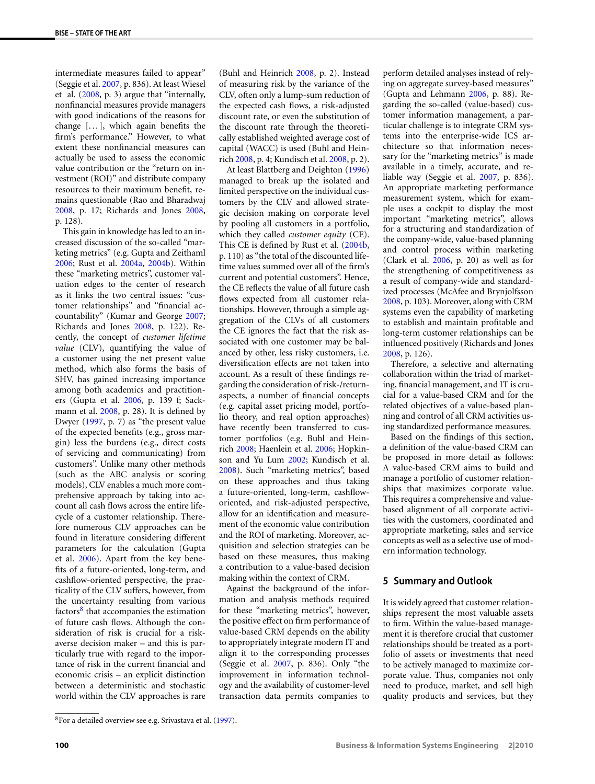intermediate measures failed to appear" (Seggie et al. [2007,](#page-8-0) p. 836). At least Wiesel et al. [\(2008,](#page-8-0) p. 3) argue that "internally, nonfinancial measures provide managers with good indications of the reasons for change  $[\,\dots\,],$  which again benefits the firm's performance." However, to what extent these nonfinancial measures can actually be used to assess the economic value contribution or the "return on investment (ROI)" and distribute company resources to their maximum benefit, remains questionable (Rao and Bharadwaj [2008](#page-8-0), p. 17; Richards and Jones [2008,](#page-8-0) p. 128).

This gain in knowledge has led to an increased discussion of the so-called "marketing metrics" (e.g. Gupta and Zeithaml [2006](#page-7-0); Rust et al. [2004a,](#page-8-0) [2004b\)](#page-8-0). Within these "marketing metrics", customer valuation edges to the center of research as it links the two central issues: "customer relationships" and "financial accountability" (Kumar and George [2007;](#page-7-0) Richards and Jones [2008](#page-8-0), p. 122). Recently, the concept of *customer lifetime value* (CLV), quantifying the value of a customer using the net present value method, which also forms the basis of SHV, has gained increasing importance among both academics and practitioners (Gupta et al. [2006,](#page-7-0) p. 139 f; Sackmann et al. [2008,](#page-8-0) p. 28). It is defined by Dwyer [\(1997](#page-6-0), p. 7) as "the present value of the expected benefits (e.g., gross margin) less the burdens (e.g., direct costs of servicing and communicating) from customers". Unlike many other methods (such as the ABC analysis or scoring models), CLV enables a much more comprehensive approach by taking into account all cash flows across the entire lifecycle of a customer relationship. Therefore numerous CLV approaches can be found in literature considering different parameters for the calculation (Gupta et al. [2006\)](#page-7-0). Apart from the key benefits of a future-oriented, long-term, and cashflow-oriented perspective, the practicality of the CLV suffers, however, from the uncertainty resulting from various factors $8$  that accompanies the estimation of future cash flows. Although the consideration of risk is crucial for a riskaverse decision maker – and this is particularly true with regard to the importance of risk in the current financial and economic crisis – an explicit distinction between a deterministic and stochastic world within the CLV approaches is rare (Buhl and Heinrich [2008,](#page-6-0) p. 2). Instead of measuring risk by the variance of the CLV, often only a lump-sum reduction of the expected cash flows, a risk-adjusted discount rate, or even the substitution of the discount rate through the theoretically established weighted average cost of capital (WACC) is used (Buhl and Heinrich [2008,](#page-6-0) p. 4; Kundisch et al. [2008,](#page-7-0) p. 2).

At least Blattberg and Deighton [\(1996](#page-6-0)) managed to break up the isolated and limited perspective on the individual customers by the CLV and allowed strategic decision making on corporate level by pooling all customers in a portfolio, which they called *customer equity* (CE). This CE is defined by Rust et al. ([2004b,](#page-8-0) p. 110) as "the total of the discounted lifetime values summed over all of the firm's current and potential customers". Hence, the CE reflects the value of all future cash flows expected from all customer relationships. However, through a simple aggregation of the CLVs of all customers the CE ignores the fact that the risk associated with one customer may be balanced by other, less risky customers, i.e. diversification effects are not taken into account. As a result of these findings regarding the consideration of risk-/returnaspects, a number of financial concepts (e.g. capital asset pricing model, portfolio theory, and real option approaches) have recently been transferred to customer portfolios (e.g. Buhl and Heinrich [2008;](#page-6-0) Haenlein et al. [2006](#page-7-0); Hopkinson and Yu Lum [2002](#page-7-0); Kundisch et al. [2008](#page-7-0)). Such "marketing metrics", based on these approaches and thus taking a future-oriented, long-term, cashfloworiented, and risk-adjusted perspective, allow for an identification and measurement of the economic value contribution and the ROI of marketing. Moreover, acquisition and selection strategies can be based on these measures, thus making a contribution to a value-based decision making within the context of CRM.

Against the background of the information and analysis methods required for these "marketing metrics", however, the positive effect on firm performance of value-based CRM depends on the ability to appropriately integrate modern IT and align it to the corresponding processes (Seggie et al. [2007](#page-8-0), p. 836). Only "the improvement in information technology and the availability of customer-level transaction data permits companies to

perform detailed analyses instead of relying on aggregate survey-based measures" (Gupta and Lehmann [2006,](#page-7-0) p. 88). Regarding the so-called (value-based) customer information management, a particular challenge is to integrate CRM systems into the enterprise-wide ICS architecture so that information necessary for the "marketing metrics" is made available in a timely, accurate, and reliable way (Seggie et al. [2007,](#page-8-0) p. 836). An appropriate marketing performance measurement system, which for example uses a cockpit to display the most important "marketing metrics", allows for a structuring and standardization of the company-wide, value-based planning and control process within marketing (Clark et al. [2006](#page-6-0), p. 20) as well as for the strengthening of competitiveness as a result of company-wide and standardized processes (McAfee and Brynjolfsson [2008](#page-7-0), p. 103). Moreover, along with CRM systems even the capability of marketing to establish and maintain profitable and long-term customer relationships can be influenced positively (Richards and Jones [2008](#page-8-0), p. 126).

Therefore, a selective and alternating collaboration within the triad of marketing, financial management, and IT is crucial for a value-based CRM and for the related objectives of a value-based planning and control of all CRM activities using standardized performance measures.

Based on the findings of this section, a definition of the value-based CRM can be proposed in more detail as follows: A value-based CRM aims to build and manage a portfolio of customer relationships that maximizes corporate value. This requires a comprehensive and valuebased alignment of all corporate activities with the customers, coordinated and appropriate marketing, sales and service concepts as well as a selective use of modern information technology.

#### **5 Summary and Outlook**

It is widely agreed that customer relationships represent the most valuable assets to firm. Within the value-based management it is therefore crucial that customer relationships should be treated as a portfolio of assets or investments that need to be actively managed to maximize corporate value. Thus, companies not only need to produce, market, and sell high quality products and services, but they

<sup>8</sup>For a detailed overview see e.g. Srivastava et al. [\(1997](#page-8-0)).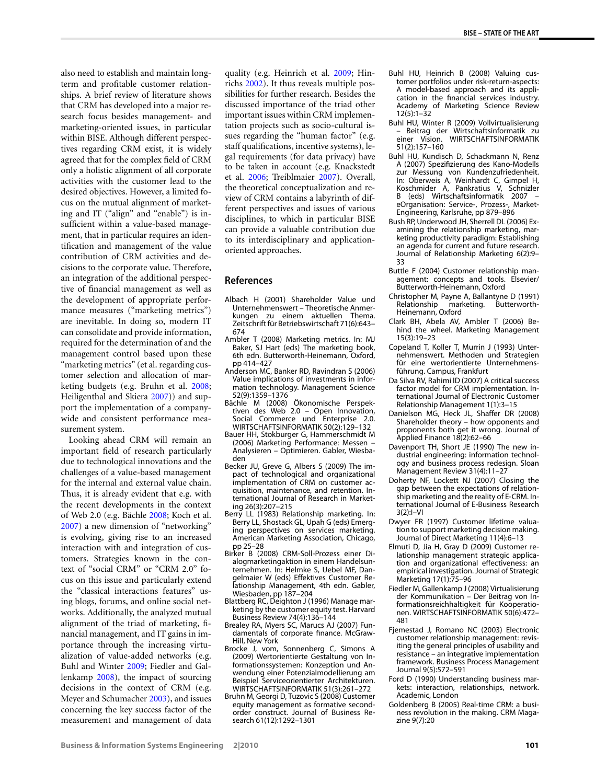<span id="page-6-0"></span>also need to establish and maintain longterm and profitable customer relationships. A brief review of literature shows that CRM has developed into a major research focus besides management- and marketing-oriented issues, in particular within BISE. Although different perspectives regarding CRM exist, it is widely agreed that for the complex field of CRM only a holistic alignment of all corporate activities with the customer lead to the desired objectives. However, a limited focus on the mutual alignment of marketing and IT ("align" and "enable") is insufficient within a value-based management, that in particular requires an identification and management of the value contribution of CRM activities and decisions to the corporate value. Therefore, an integration of the additional perspective of financial management as well as the development of appropriate performance measures ("marketing metrics") are inevitable. In doing so, modern IT can consolidate and provide information, required for the determination of and the management control based upon these "marketing metrics" (et al. regarding customer selection and allocation of marketing budgets (e.g. Bruhn et al. 2008; Heiligenthal and Skiera [2007\)](#page-7-0)) and support the implementation of a companywide and consistent performance measurement system.

Looking ahead CRM will remain an important field of research particularly due to technological innovations and the challenges of a value-based management for the internal and external value chain. Thus, it is already evident that e.g. with the recent developments in the context of Web 2.0 (e.g. Bächle 2008; Koch et al. [2007\)](#page-7-0) a new dimension of "networking" is evolving, giving rise to an increased interaction with and integration of customers. Strategies known in the context of "social CRM" or "CRM 2.0" focus on this issue and particularly extend the "classical interactions features" using blogs, forums, and online social networks. Additionally, the analyzed mutual alignment of the triad of marketing, financial management, and IT gains in importance through the increasing virtualization of value-added networks (e.g. Buhl and Winter 2009; Fiedler and Gallenkamp 2008), the impact of sourcing decisions in the context of CRM (e.g. Meyer and Schumacher [2003](#page-7-0)), and issues concerning the key success factor of the measurement and management of data

quality (e.g. Heinrich et al. [2009](#page-7-0); Hinrichs [2002](#page-7-0)). It thus reveals multiple possibilities for further research. Besides the discussed importance of the triad other important issues within CRM implementation projects such as socio-cultural issues regarding the "human factor" (e.g. staff qualifications, incentive systems), legal requirements (for data privacy) have to be taken in account (e.g. Knackstedt et al. [2006](#page-7-0); Treiblmaier [2007](#page-8-0)). Overall, the theoretical conceptualization and review of CRM contains a labyrinth of different perspectives and issues of various disciplines, to which in particular BISE can provide a valuable contribution due to its interdisciplinary and applicationoriented approaches.

#### **References**

- Albach H (2001) Shareholder Value und Unternehmenswert – Theoretische Anmerkungen zu einem aktuellen Thema. Zeitschrift für Betriebswirtschaft 71(6):643– 674
- Ambler T (2008) Marketing metrics. In: MJ Baker, SJ Hart (eds) The marketing book, 6th edn. Butterworth-Heinemann, Oxford, pp 414–427
- Anderson MC, Banker RD, Ravindran S (2006) Value implications of investments in information technology. Management Science 52(9):1359–1376
- Bächle M (2008) Ökonomische Perspektiven des Web 2.0 – Open Innovation, Social Commerce und Enterprise 2.0. WIRTSCHAFTSINFORMATIK 50(2):129–132
- Bauer HH, Stokburger G, Hammerschmidt M (2006) Marketing Performance: Messen – Analysieren – Optimieren. Gabler, Wiesbaden
- Becker JU, Greve G, Albers S (2009) The impact of technological and organizational implementation of CRM on customer acquisition, maintenance, and retention. International Journal of Research in Marketing 26(3):207–215
- Berry LL (1983) Relationship marketing. In: Berry LL, Shostack GL, Upah G (eds) Emerging perspectives on services marketing. American Marketing Association, Chicago, pp 25–28
- Birker B (2008) CRM-Soll-Prozess einer Dialogmarketingaktion in einem Handelsunternehmen. In: Helmke S, Uebel MF, Dangelmaier W (eds) Effektives Customer Relationship Management, 4th edn. Gabler, Wiesbaden, pp 187–204
- Blattberg RC, Deighton J (1996) Manage marketing by the customer equity test. Harvard
- Business Review 74(4):136–144 Brealey RA, Myers SC, Marucs AJ (2007) Fundamentals of corporate finance. McGraw-Hill, New York
- Brocke J, vom, Sonnenberg C, Simons A (2009) Wertorientierte Gestaltung von Informationssystemen: Konzeption und Anwendung einer Potenzialmodellierung am Beispiel Serviceorientierter Architekturen. WIRTSCHAFTSINFORMATIK 51(3):261–272
- Bruhn M, Georgi D, Tuzovic S (2008) Customer equity management as formative secondorder construct. Journal of Business Research 61(12):1292–1301
- Buhl HU, Heinrich B (2008) Valuing customer portfolios under risk-return-aspects: A model-based approach and its application in the financial services industry. Academy of Marketing Science Review  $12(5):1-\frac{2}{3}2$
- Buhl HU, Winter R (2009) Vollvirtualisierung – Beitrag der Wirtschaftsinformatik zu einer Vision. WIRTSCHAFTSINFORMATIK 51(2):157–160
- Buhl HU, Kundisch D, Schackmann N, Renz A (2007) Spezifizierung des Kano-Modells zur Messung von Kundenzufriedenheit. In: Oberweis A, Weinhardt C, Gimpel H, Koschmider A, Pankratius V, Schnizler B (eds) Wirtschaftsinformatik 2007 – eOrganisation: Service-, Prozess-, Market-Engineering, Karlsruhe, pp 879–896
- Bush RP, Underwood JH, Sherrell DL (2006) Examining the relationship marketing, marketing productivity paradigm: Establishing an agenda for current and future research. Journal of Relationship Marketing 6(2):9– 33
- Buttle F (2004) Customer relationship management: concepts and tools. Elsevier/ Butterworth-Heinemann, Oxford
- Christopher M, Payne A, Ballantyne D (1991) Relationship marketing. Heinemann, Oxford
- Clark BH, Abela AV, Ambler T (2006) Behind the wheel. Marketing Management 15(3):19–23
- Copeland T, Koller T, Murrin J (1993) Unternehmenswert. Methoden und Strategien für eine wertorientierte Unternehmensführung. Campus, Frankfurt
- Da Silva RV, Rahimi ID (2007) A critical success factor model for CRM implementation. International Journal of Electronic Customer Relationship Management 1(1):3–15
- Danielson MG, Heck JL, Shaffer DR (2008) Shareholder theory – how opponents and proponents both get it wrong. Journal of Applied Finance 18(2):62–66
- Davenport TH, Short JE (1990) The new industrial engineering: information technology and business process redesign. Sloan Management Review 31(4):11–27
- Doherty NF, Lockett NJ (2007) Closing the gap between the expectations of relationship marketing and the reality of E-CRM. International Journal of E-Business Research 3(2):I–VI
- Dwyer FR (1997) Customer lifetime valuation to support marketing decision making. Journal of Direct Marketing 11(4):6–13
- Elmuti D, Jia H, Gray D (2009) Customer relationship management strategic application and organizational effectiveness: an empirical investigation. Journal of Strategic Marketing 17(1):75–96
- Fiedler M, Gallenkamp J (2008) Virtualisierung der Kommunikation – Der Beitrag von Informationsreichhaltigkeit für Kooperationen. WIRTSCHAFTSINFORMATIK 50(6):472– 481
- Fjemestad J, Romano NC (2003) Electronic customer relationship management: revisiting the general principles of usability and resistance – an integrative implementation framework. Business Process Management Journal 9(5):572–591
- Ford D (1990) Understanding business markets: interaction, relationships, network. Academic, London
- Goldenberg B (2005) Real-time CRM: a business revolution in the making. CRM Magazine 9(7):20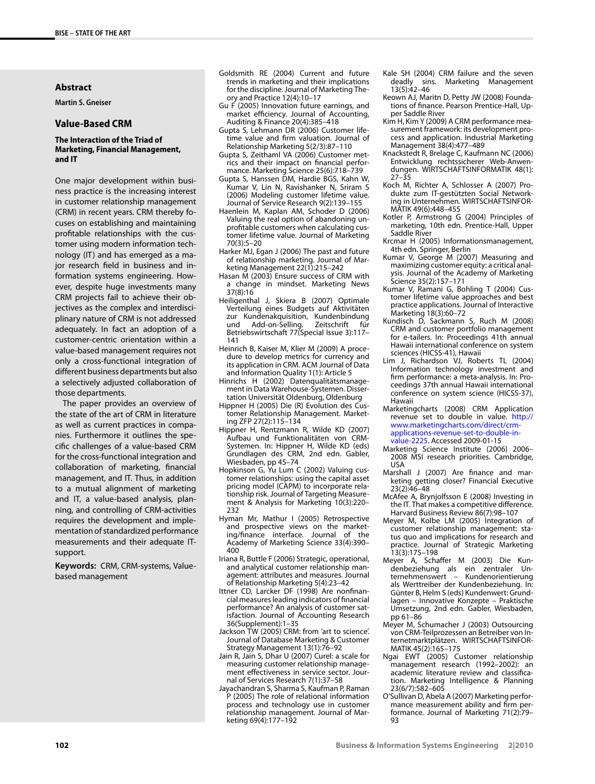#### <span id="page-7-0"></span>**Abstract**

**Martin S. Gneiser**

# **Value-Based CRM**

#### **The Interaction of the Triad of Marketing, Financial Management, and IT**

One major development within business practice is the increasing interest in customer relationship management (CRM) in recent years. CRM thereby focuses on establishing and maintaining profitable relationships with the customer using modern information technology (IT) and has emerged as a major research field in business and information systems engineering. However, despite huge investments many CRM projects fail to achieve their objectives as the complex and interdisciplinary nature of CRM is not addressed adequately. In fact an adoption of a customer-centric orientation within a value-based management requires not only a cross-functional integration of different business departments but also a selectively adjusted collaboration of those departments.

The paper provides an overview of the state of the art of CRM in literature as well as current practices in companies. Furthermore it outlines the specific challenges of a value-based CRM for the cross-functional integration and collaboration of marketing, financial management, and IT. Thus, in addition to a mutual alignment of marketing and IT, a value-based analysis, planning, and controlling of CRM-activities requires the development and implementation of standardized performance measurements and their adequate ITsupport.

**Keywords:** CRM, CRM-systems, Valuebased management

- Goldsmith RE (2004) Current and future trends in marketing and their implications for the discipline. Journal of Marketing Theory and Practice 12(4):10–17
- Gu F (2005) Innovation future earnings, and market efficiency. Journal of Accounting, Auditing & Finance 20(4):385–418
- Gupta S, Lehmann DR (2006) Customer lifetime value and firm valuation. Journal of Relationship Marketing 5(2/3):87–110
- Gupta S, Zeithaml VA (2006) Customer metrics and their impact on financial performance. Marketing Science 25(6):718–739
- Gupta S, Hanssen DM, Hardie BGS, Kahn W, Kumar V, Lin N, Ravishanker N, Sriram S (2006) Modeling customer lifetime value. Journal of Service Research 9(2):139–155
- Haenlein M, Kaplan AM, Schoder D (2006) Valuing the real option of abandoning unprofitable customers when calculating customer lifetime value. Journal of Marketing 70(3):5–20
- Harker MJ, Egan J (2006) The past and future of relationship marketing. Journal of Marketing Management 22(1):215–242
- Hasan M (2003) Ensure success of CRM with a change in mindset. Marketing News 37(8):16
- Heiligenthal J, Skiera B (2007) Optimale Verteilung eines Budgets auf Aktivitäten zur Kundenakquisition, Kundenbindung<br>und Add-on-Selling. Zeitschrift für Add-on-Selling. Zeitschrift für Betriebswirtschaft 77(Special Issue 3):117– 141
- Heinrich B, Kaiser M, Klier M (2009) A procedure to develop metrics for currency and its application in CRM. ACM Journal of Data and Information Quality 1(1): Article 5
- Hinrichs H (2002) Datenqualitätsmanagement in Data Warehouse-Systemen. Dissertation Universität Oldenburg, Oldenburg
- Hippner H (2005) Die (R) Evolution des Customer Relationship Management. Marketing ZFP 27(2):115–134
- Hippner H, Rentzmann R, Wilde KD (2007) Aufbau und Funktionalitäten von CRM-Systemen. In: Hippner H, Wilde KD (eds) Grundlagen des CRM, 2nd edn. Gabler, Wiesbaden, pp 45–74
- Hopkinson G, Yu Lum C (2002) Valuing customer relationships: using the capital asset pricing model (CAPM) to incorporate relationship risk. Journal of Targeting Measurement & Analysis for Marketing 10(3):220– 232
- Hyman Mr, Mathur I (2005) Retrospective and prospective views on the marketing/finance interface. Journal of the Academy of Marketing Science 33(4):390– 400
- Iriana R, Buttle F (2006) Strategic, operational, and analytical customer relationship management: attributes and measures. Journal of Relationship Marketing 5(4):23–42
- Ittner CD, Larcker DF (1998) Are nonfinancial measures leading indicators of financial performance? An analysis of customer satisfaction. Journal of Accounting Research 36(Supplement):1–35
- Jackson TW (2005) CRM: from 'art to science'. Journal of Database Marketing & Customer Strategy Management 13(1):76–92
- Jain R, Jain S, Dhar U (2007) Curel: a scale for measuring customer relationship management effectiveness in service sector. Journal of Services Research 7(1):37–58
- Jayachandran S, Sharma S, Kaufman P, Raman P (2005) The role of relational information process and technology use in customer relationship management. Journal of Marketing 69(4):177–192
- Kale SH (2004) CRM failure and the seven deadly sins. Marketing Management 13(5):42–46
- Keown AJ, Maritn D, Petty JW (2008) Foundations of finance. Pearson Prentice-Hall, Upper Saddle River
- Kim H, Kim Y (2009) A CRM performance measurement framework: its development process and application. Industrial Marketing Management 38(4):477–489
- Knackstedt R, Brelage C, Kaufmann NC (2006) Entwicklung rechtssicherer Web-Anwendungen. WIRTSCHAFTSINFORMATIK 48(1): 27–35
- Koch M, Richter A, Schlosser A (2007) Produkte zum IT-gestützten Social Networking in Unternehmen. WIRTSCHAFTSINFOR-MATIK 49(6):448–455
- Kotler P, Armstrong G (2004) Principles of marketing, 10th edn. Prentice-Hall, Upper Saddle River
- Krcmar H (2005) Informationsmanagement, 4th edn. Springer, Berlin
- Kumar V, George M (2007) Measuring and maximizing customer equity: a critical analysis. Journal of the Academy of Marketing Science 35(2):157–171
- Kumar V, Ramani G, Bohling T (2004) Customer lifetime value approaches and best practice applications. Journal of Interactive Marketing 18(3):60–72
- Kundisch D, Sackmann S, Ruch M (2008) CRM and customer portfolio management for e-tailers. In: Proceedings 41th annual Hawaii international conference on system sciences (HICSS-41), Hawaii
- Lim J, Richardson VJ, Roberts TL (2004) Information technology investment and firm performance: a meta-analysis. In: Proceedings 37th annual Hawaii international conference on system science (HICSS-37), Hawaii
- Marketingcharts (2008) CRM Application revenue set to double in value. [http://](http://www.marketingcharts.com/direct/crm-applications-revenue-set-to-double-in-value-2225) [www.marketingcharts.com/direct/crm](http://www.marketingcharts.com/direct/crm-applications-revenue-set-to-double-in-value-2225)[applications-revenue-set-to-double-in](http://www.marketingcharts.com/direct/crm-applications-revenue-set-to-double-in-value-2225)[value-2225](http://www.marketingcharts.com/direct/crm-applications-revenue-set-to-double-in-value-2225). Accessed 2009-01-15
- Marketing Science Institute (2006) 2006– 2008 MSI research priorities. Cambridge, USA
- Marshall J (2007) Are finance and marketing getting closer? Financial Executive 23(2):46–48
- McAfee A, Brynjolfsson E (2008) Investing in the IT. That makes a competitive difference. Harvard Business Review 86(7):98–107
- Meyer M, Kolbe LM (2005) Integration of customer relationship management: status quo and implications for research and practice. Journal of Strategic Marketing 13(3):175–198
- Meyer A, Schaffer M (2003) Die Kundenbeziehung als ein zentraler Unternehmenswert – als Werttreiber der Kundenbeziehung. In: Günter B, Helm S (eds) Kundenwert: Grundlagen – Innovative Konzepte – Praktische Umsetzung, 2nd edn. Gabler, Wiesbaden, pp 61–86
- Meyer M, Schumacher J (2003) Outsourcing von CRM-Teilprozessen an Betreiber von Internetmarktplätzen. WIRTSCHAFTSINFOR-MATIK 45(2):165–175
- Ngai EWT (2005) Customer relationship management research (1992–2002): an academic literature review and classification. Marketing Intelligence & Planning 23(6/7):582–605
- O'Sullivan D, Abela A (2007) Marketing performance measurement ability and firm performance. Journal of Marketing 71(2):79– 93